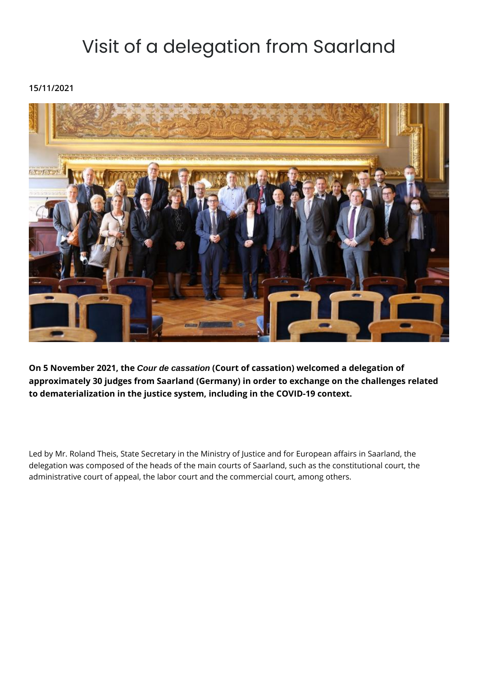## Visit of a delegation from Saarland

**15/11/2021**



**On 5 November 2021, the Cour de cassation (Court of cassation) welcomed a delegation of approximately 30 judges from Saarland (Germany) in order to exchange on the challenges related to dematerialization in the justice system, including in the COVID-19 context.** 

Led by Mr. Roland Theis, State Secretary in the Ministry of Justice and for European affairs in Saarland, the delegation was composed of the heads of the main courts of Saarland, such as the constitutional court, the administrative court of appeal, the labor court and the commercial court, among others.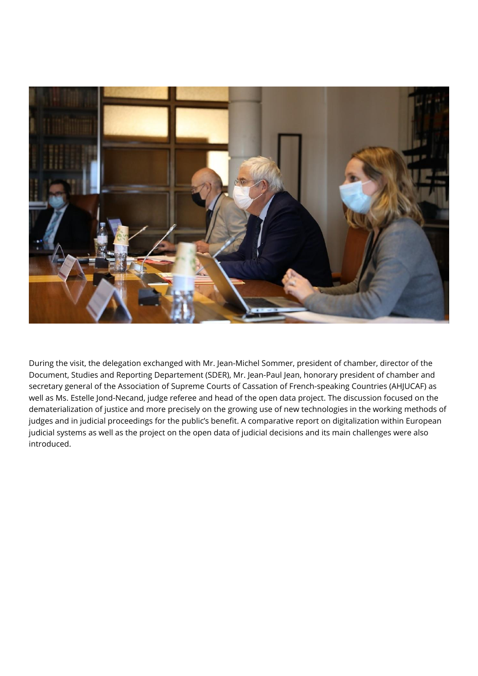

During the visit, the delegation exchanged with Mr. Jean-Michel Sommer, president of chamber, director of the Document, Studies and Reporting Departement (SDER), Mr. Jean-Paul Jean, honorary president of chamber and secretary general of the Association of Supreme Courts of Cassation of French-speaking Countries (AHJUCAF) as well as Ms. Estelle Jond-Necand, judge referee and head of the open data project. The discussion focused on the dematerialization of justice and more precisely on the growing use of new technologies in the working methods of judges and in judicial proceedings for the public's benefit. A comparative report on digitalization within European judicial systems as well as the project on the open data of judicial decisions and its main challenges were also introduced.